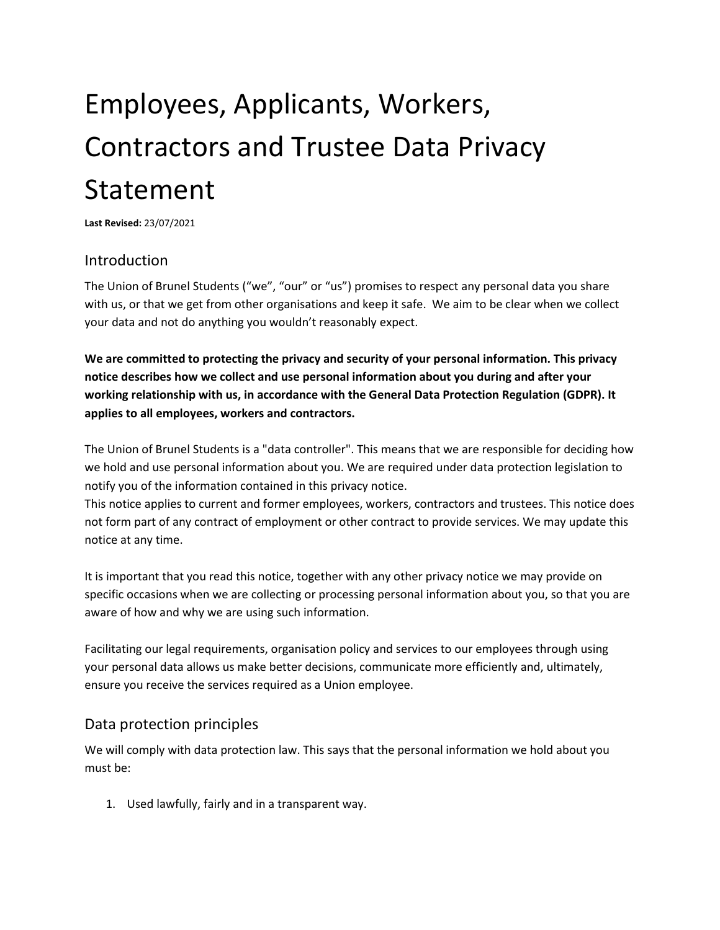# Employees, Applicants, Workers, Contractors and Trustee Data Privacy Statement

**Last Revised:** 23/07/2021

## Introduction

The Union of Brunel Students ("we", "our" or "us") promises to respect any personal data you share with us, or that we get from other organisations and keep it safe. We aim to be clear when we collect your data and not do anything you wouldn't reasonably expect.

**We are committed to protecting the privacy and security of your personal information. This privacy notice describes how we collect and use personal information about you during and after your working relationship with us, in accordance with the General Data Protection Regulation (GDPR). It applies to all employees, workers and contractors.**

The Union of Brunel Students is a "data controller". This means that we are responsible for deciding how we hold and use personal information about you. We are required under data protection legislation to notify you of the information contained in this privacy notice.

This notice applies to current and former employees, workers, contractors and trustees. This notice does not form part of any contract of employment or other contract to provide services. We may update this notice at any time.

It is important that you read this notice, together with any other privacy notice we may provide on specific occasions when we are collecting or processing personal information about you, so that you are aware of how and why we are using such information.

Facilitating our legal requirements, organisation policy and services to our employees through using your personal data allows us make better decisions, communicate more efficiently and, ultimately, ensure you receive the services required as a Union employee.

## Data protection principles

We will comply with data protection law. This says that the personal information we hold about you must be:

1. Used lawfully, fairly and in a transparent way.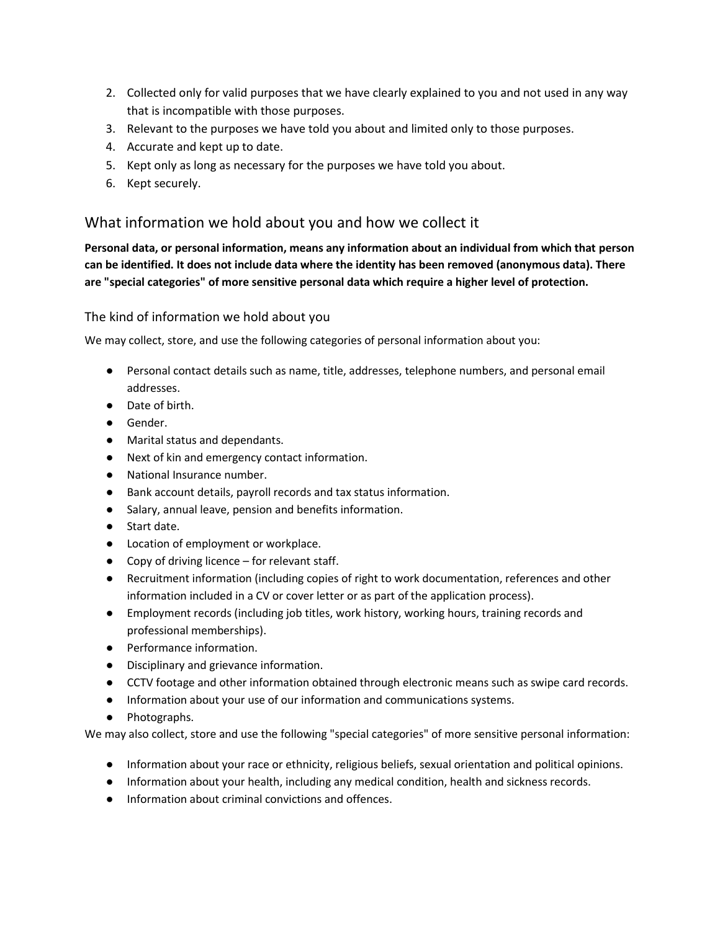- 2. Collected only for valid purposes that we have clearly explained to you and not used in any way that is incompatible with those purposes.
- 3. Relevant to the purposes we have told you about and limited only to those purposes.
- 4. Accurate and kept up to date.
- 5. Kept only as long as necessary for the purposes we have told you about.
- 6. Kept securely.

## What information we hold about you and how we collect it

**Personal data, or personal information, means any information about an individual from which that person can be identified. It does not include data where the identity has been removed (anonymous data). There are "special categories" of more sensitive personal data which require a higher level of protection.**

## The kind of information we hold about you

We may collect, store, and use the following categories of personal information about you:

- Personal contact details such as name, title, addresses, telephone numbers, and personal email addresses.
- Date of birth.
- Gender.
- Marital status and dependants.
- Next of kin and emergency contact information.
- National Insurance number.
- Bank account details, payroll records and tax status information.
- Salary, annual leave, pension and benefits information.
- Start date.
- Location of employment or workplace.
- Copy of driving licence for relevant staff.
- Recruitment information (including copies of right to work documentation, references and other information included in a CV or cover letter or as part of the application process).
- Employment records (including job titles, work history, working hours, training records and professional memberships).
- Performance information.
- Disciplinary and grievance information.
- CCTV footage and other information obtained through electronic means such as swipe card records.
- Information about your use of our information and communications systems.
- Photographs.

We may also collect, store and use the following "special categories" of more sensitive personal information:

- Information about your race or ethnicity, religious beliefs, sexual orientation and political opinions.
- Information about your health, including any medical condition, health and sickness records.
- Information about criminal convictions and offences.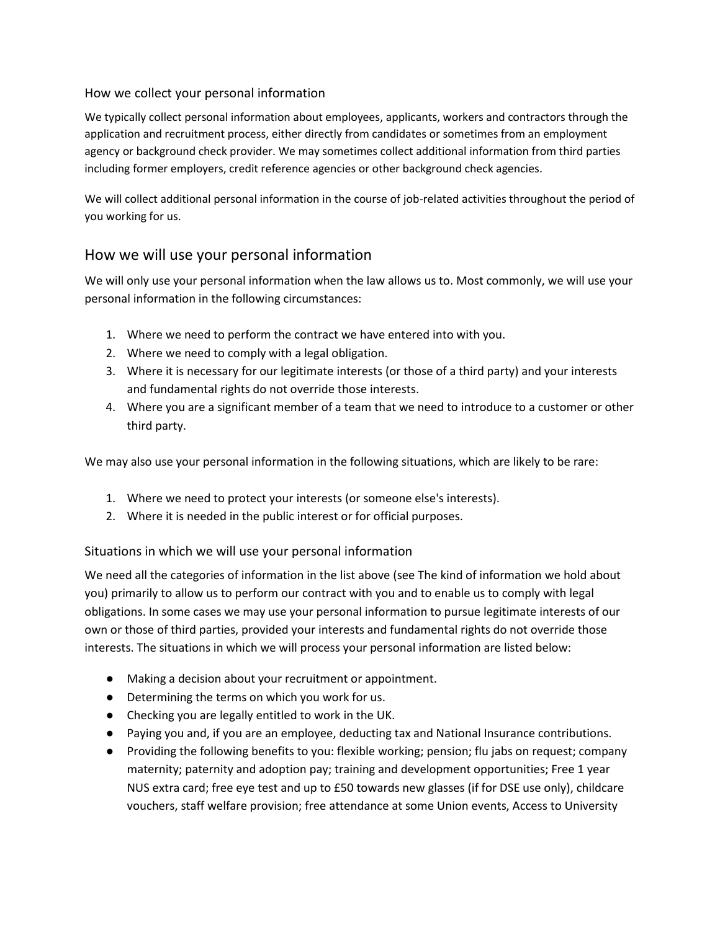#### How we collect your personal information

We typically collect personal information about employees, applicants, workers and contractors through the application and recruitment process, either directly from candidates or sometimes from an employment agency or background check provider. We may sometimes collect additional information from third parties including former employers, credit reference agencies or other background check agencies.

We will collect additional personal information in the course of job-related activities throughout the period of you working for us.

## How we will use your personal information

We will only use your personal information when the law allows us to. Most commonly, we will use your personal information in the following circumstances:

- 1. Where we need to perform the contract we have entered into with you.
- 2. Where we need to comply with a legal obligation.
- 3. Where it is necessary for our legitimate interests (or those of a third party) and your interests and fundamental rights do not override those interests.
- 4. Where you are a significant member of a team that we need to introduce to a customer or other third party.

We may also use your personal information in the following situations, which are likely to be rare:

- 1. Where we need to protect your interests (or someone else's interests).
- 2. Where it is needed in the public interest or for official purposes.

## Situations in which we will use your personal information

We need all the categories of information in the list above (see The kind of information we hold about you) primarily to allow us to perform our contract with you and to enable us to comply with legal obligations. In some cases we may use your personal information to pursue legitimate interests of our own or those of third parties, provided your interests and fundamental rights do not override those interests. The situations in which we will process your personal information are listed below:

- Making a decision about your recruitment or appointment.
- Determining the terms on which you work for us.
- Checking you are legally entitled to work in the UK.
- Paying you and, if you are an employee, deducting tax and National Insurance contributions.
- Providing the following benefits to you: flexible working; pension; flu jabs on request; company maternity; paternity and adoption pay; training and development opportunities; Free 1 year NUS extra card; free eye test and up to £50 towards new glasses (if for DSE use only), childcare vouchers, staff welfare provision; free attendance at some Union events, Access to University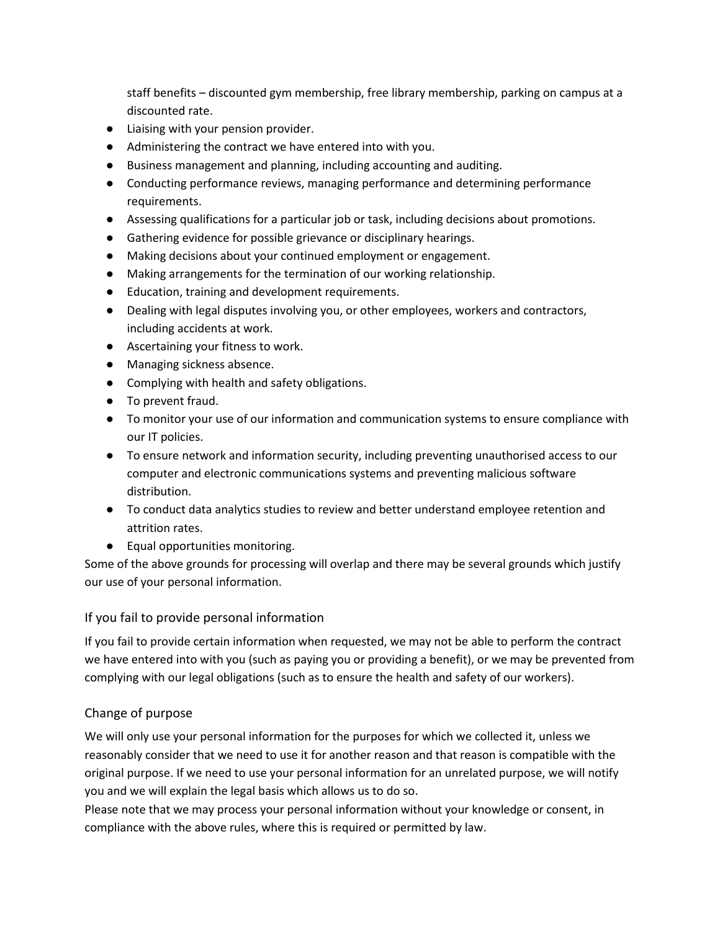staff benefits – discounted gym membership, free library membership, parking on campus at a discounted rate.

- Liaising with your pension provider.
- Administering the contract we have entered into with you.
- Business management and planning, including accounting and auditing.
- Conducting performance reviews, managing performance and determining performance requirements.
- Assessing qualifications for a particular job or task, including decisions about promotions.
- Gathering evidence for possible grievance or disciplinary hearings.
- Making decisions about your continued employment or engagement.
- Making arrangements for the termination of our working relationship.
- Education, training and development requirements.
- Dealing with legal disputes involving you, or other employees, workers and contractors, including accidents at work.
- Ascertaining your fitness to work.
- Managing sickness absence.
- Complying with health and safety obligations.
- To prevent fraud.
- To monitor your use of our information and communication systems to ensure compliance with our IT policies.
- To ensure network and information security, including preventing unauthorised access to our computer and electronic communications systems and preventing malicious software distribution.
- To conduct data analytics studies to review and better understand employee retention and attrition rates.
- Equal opportunities monitoring.

Some of the above grounds for processing will overlap and there may be several grounds which justify our use of your personal information.

If you fail to provide personal information

If you fail to provide certain information when requested, we may not be able to perform the contract we have entered into with you (such as paying you or providing a benefit), or we may be prevented from complying with our legal obligations (such as to ensure the health and safety of our workers).

## Change of purpose

We will only use your personal information for the purposes for which we collected it, unless we reasonably consider that we need to use it for another reason and that reason is compatible with the original purpose. If we need to use your personal information for an unrelated purpose, we will notify you and we will explain the legal basis which allows us to do so.

Please note that we may process your personal information without your knowledge or consent, in compliance with the above rules, where this is required or permitted by law.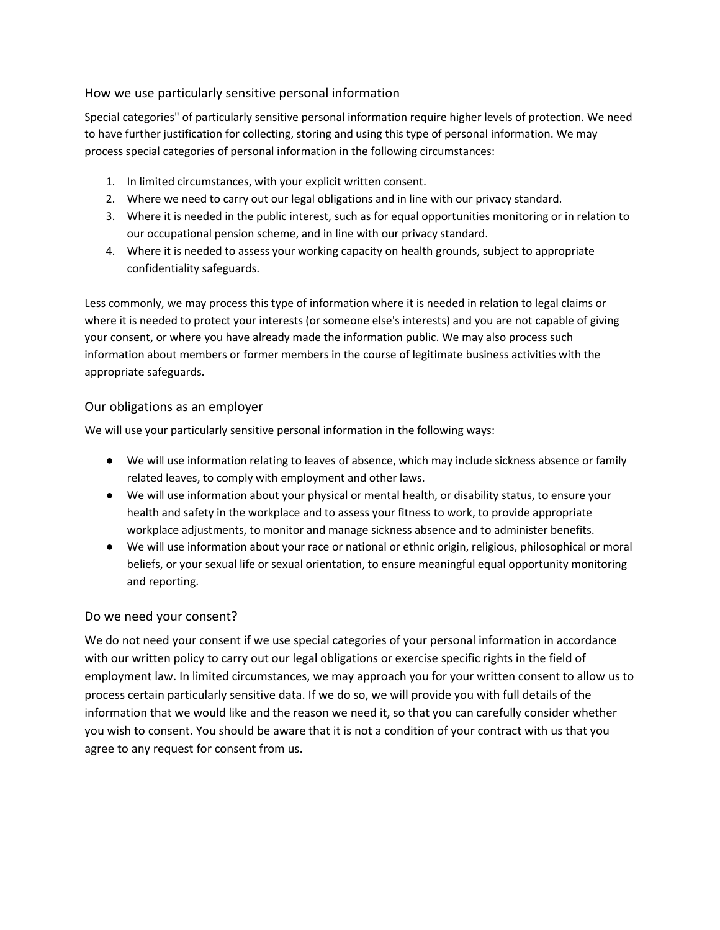## How we use particularly sensitive personal information

Special categories" of particularly sensitive personal information require higher levels of protection. We need to have further justification for collecting, storing and using this type of personal information. We may process special categories of personal information in the following circumstances:

- 1. In limited circumstances, with your explicit written consent.
- 2. Where we need to carry out our legal obligations and in line with our privacy standard.
- 3. Where it is needed in the public interest, such as for equal opportunities monitoring or in relation to our occupational pension scheme, and in line with our privacy standard.
- 4. Where it is needed to assess your working capacity on health grounds, subject to appropriate confidentiality safeguards.

Less commonly, we may process this type of information where it is needed in relation to legal claims or where it is needed to protect your interests (or someone else's interests) and you are not capable of giving your consent, or where you have already made the information public. We may also process such information about members or former members in the course of legitimate business activities with the appropriate safeguards.

#### Our obligations as an employer

We will use your particularly sensitive personal information in the following ways:

- We will use information relating to leaves of absence, which may include sickness absence or family related leaves, to comply with employment and other laws.
- We will use information about your physical or mental health, or disability status, to ensure your health and safety in the workplace and to assess your fitness to work, to provide appropriate workplace adjustments, to monitor and manage sickness absence and to administer benefits.
- We will use information about your race or national or ethnic origin, religious, philosophical or moral beliefs, or your sexual life or sexual orientation, to ensure meaningful equal opportunity monitoring and reporting.

## Do we need your consent?

We do not need your consent if we use special categories of your personal information in accordance with our written policy to carry out our legal obligations or exercise specific rights in the field of employment law. In limited circumstances, we may approach you for your written consent to allow us to process certain particularly sensitive data. If we do so, we will provide you with full details of the information that we would like and the reason we need it, so that you can carefully consider whether you wish to consent. You should be aware that it is not a condition of your contract with us that you agree to any request for consent from us.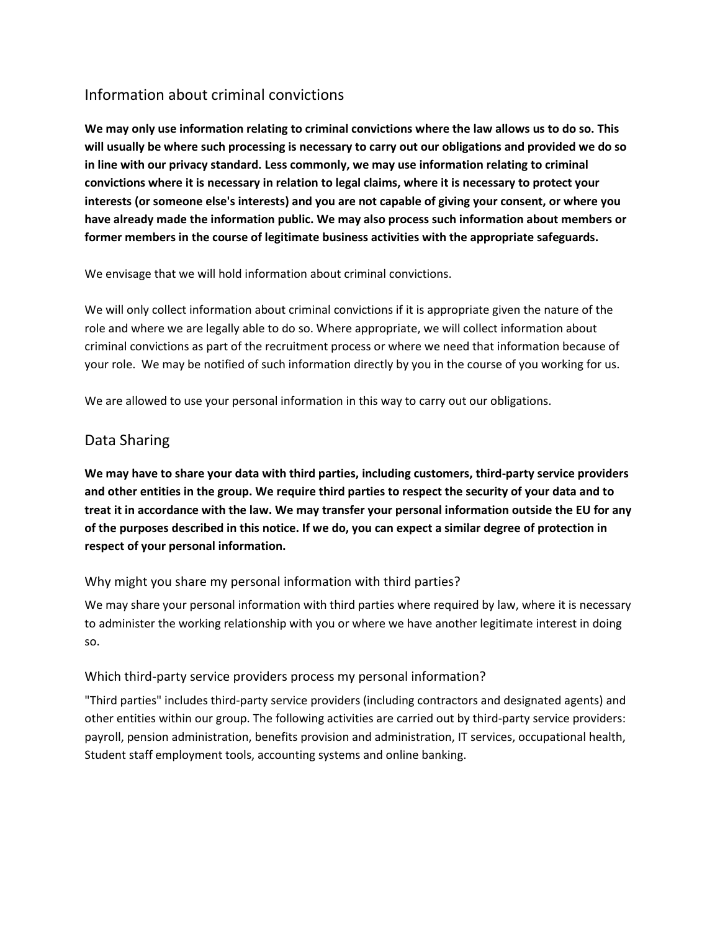# Information about criminal convictions

**We may only use information relating to criminal convictions where the law allows us to do so. This will usually be where such processing is necessary to carry out our obligations and provided we do so in line with our privacy standard. Less commonly, we may use information relating to criminal convictions where it is necessary in relation to legal claims, where it is necessary to protect your interests (or someone else's interests) and you are not capable of giving your consent, or where you have already made the information public. We may also process such information about members or former members in the course of legitimate business activities with the appropriate safeguards.**

We envisage that we will hold information about criminal convictions.

We will only collect information about criminal convictions if it is appropriate given the nature of the role and where we are legally able to do so. Where appropriate, we will collect information about criminal convictions as part of the recruitment process or where we need that information because of your role. We may be notified of such information directly by you in the course of you working for us.

We are allowed to use your personal information in this way to carry out our obligations.

## Data Sharing

**We may have to share your data with third parties, including customers, third-party service providers and other entities in the group. We require third parties to respect the security of your data and to treat it in accordance with the law. We may transfer your personal information outside the EU for any of the purposes described in this notice. If we do, you can expect a similar degree of protection in respect of your personal information.**

## Why might you share my personal information with third parties?

We may share your personal information with third parties where required by law, where it is necessary to administer the working relationship with you or where we have another legitimate interest in doing so.

## Which third-party service providers process my personal information?

"Third parties" includes third-party service providers (including contractors and designated agents) and other entities within our group. The following activities are carried out by third-party service providers: payroll, pension administration, benefits provision and administration, IT services, occupational health, Student staff employment tools, accounting systems and online banking.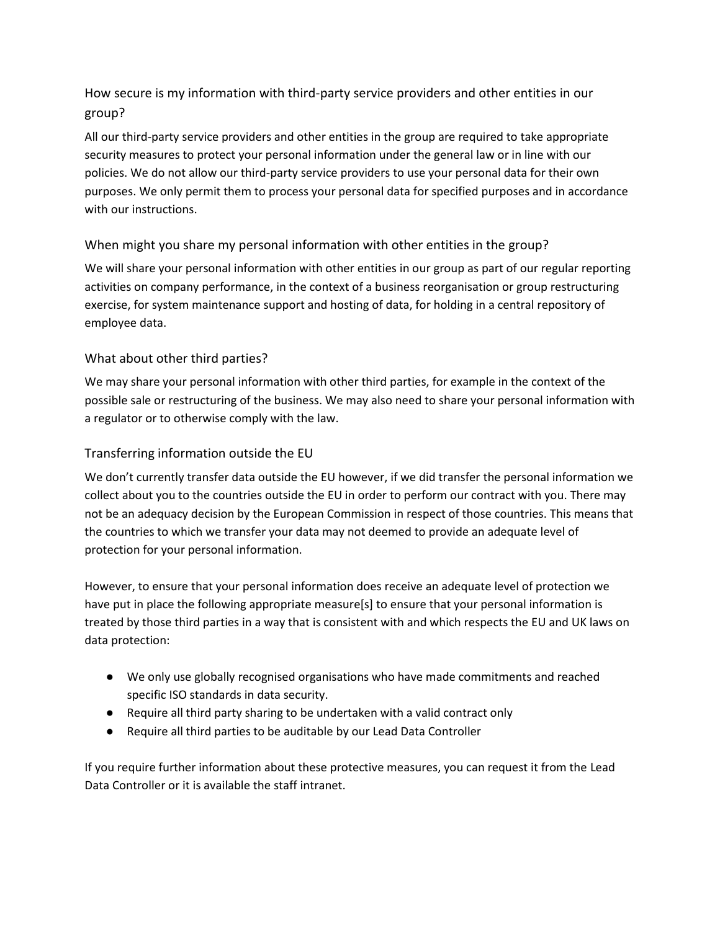How secure is my information with third-party service providers and other entities in our group?

All our third-party service providers and other entities in the group are required to take appropriate security measures to protect your personal information under the general law or in line with our policies. We do not allow our third-party service providers to use your personal data for their own purposes. We only permit them to process your personal data for specified purposes and in accordance with our instructions.

## When might you share my personal information with other entities in the group?

We will share your personal information with other entities in our group as part of our regular reporting activities on company performance, in the context of a business reorganisation or group restructuring exercise, for system maintenance support and hosting of data, for holding in a central repository of employee data.

## What about other third parties?

We may share your personal information with other third parties, for example in the context of the possible sale or restructuring of the business. We may also need to share your personal information with a regulator or to otherwise comply with the law.

## Transferring information outside the EU

We don't currently transfer data outside the EU however, if we did transfer the personal information we collect about you to the countries outside the EU in order to perform our contract with you. There may not be an adequacy decision by the European Commission in respect of those countries. This means that the countries to which we transfer your data may not deemed to provide an adequate level of protection for your personal information.

However, to ensure that your personal information does receive an adequate level of protection we have put in place the following appropriate measure[s] to ensure that your personal information is treated by those third parties in a way that is consistent with and which respects the EU and UK laws on data protection:

- We only use globally recognised organisations who have made commitments and reached specific ISO standards in data security.
- Require all third party sharing to be undertaken with a valid contract only
- Require all third parties to be auditable by our Lead Data Controller

If you require further information about these protective measures, you can request it from the Lead Data Controller or it is available the staff intranet.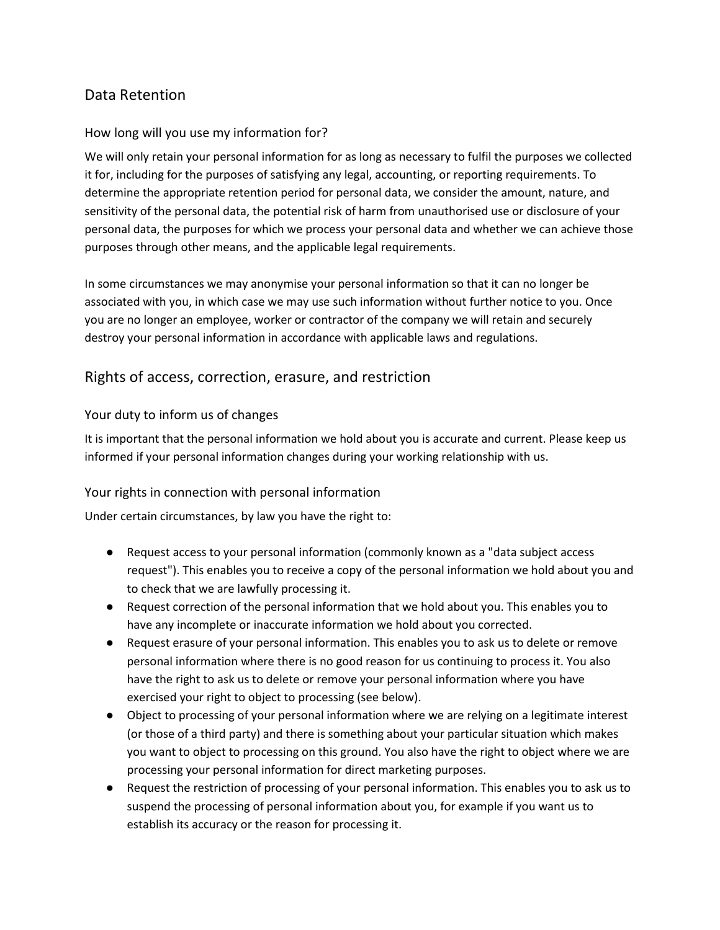# Data Retention

## How long will you use my information for?

We will only retain your personal information for as long as necessary to fulfil the purposes we collected it for, including for the purposes of satisfying any legal, accounting, or reporting requirements. To determine the appropriate retention period for personal data, we consider the amount, nature, and sensitivity of the personal data, the potential risk of harm from unauthorised use or disclosure of your personal data, the purposes for which we process your personal data and whether we can achieve those purposes through other means, and the applicable legal requirements.

In some circumstances we may anonymise your personal information so that it can no longer be associated with you, in which case we may use such information without further notice to you. Once you are no longer an employee, worker or contractor of the company we will retain and securely destroy your personal information in accordance with applicable laws and regulations.

## Rights of access, correction, erasure, and restriction

## Your duty to inform us of changes

It is important that the personal information we hold about you is accurate and current. Please keep us informed if your personal information changes during your working relationship with us.

## Your rights in connection with personal information

Under certain circumstances, by law you have the right to:

- Request access to your personal information (commonly known as a "data subject access request"). This enables you to receive a copy of the personal information we hold about you and to check that we are lawfully processing it.
- Request correction of the personal information that we hold about you. This enables you to have any incomplete or inaccurate information we hold about you corrected.
- Request erasure of your personal information. This enables you to ask us to delete or remove personal information where there is no good reason for us continuing to process it. You also have the right to ask us to delete or remove your personal information where you have exercised your right to object to processing (see below).
- Object to processing of your personal information where we are relying on a legitimate interest (or those of a third party) and there is something about your particular situation which makes you want to object to processing on this ground. You also have the right to object where we are processing your personal information for direct marketing purposes.
- Request the restriction of processing of your personal information. This enables you to ask us to suspend the processing of personal information about you, for example if you want us to establish its accuracy or the reason for processing it.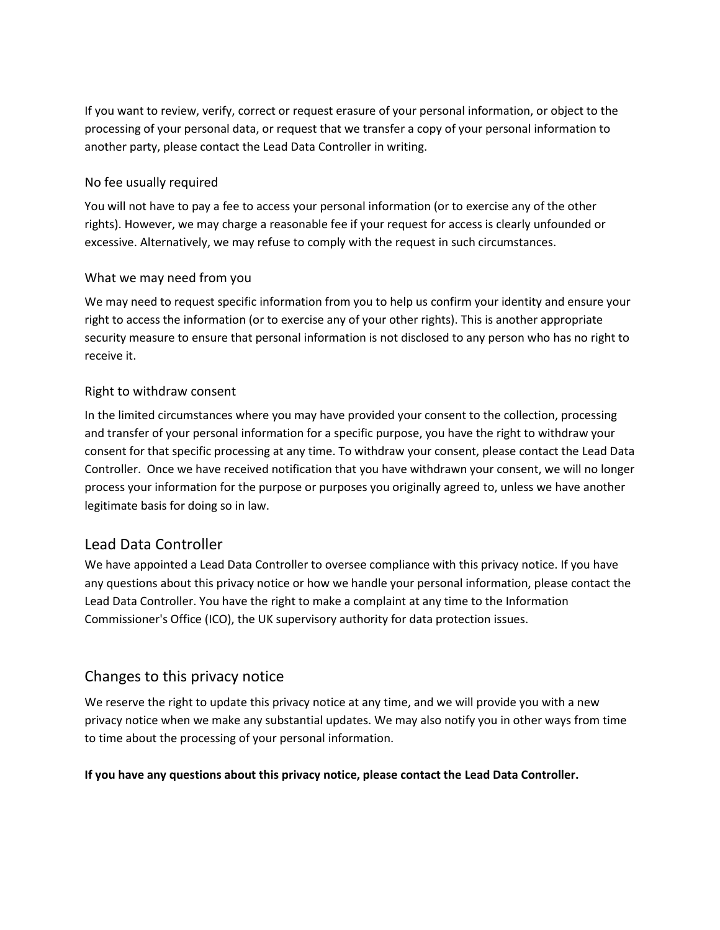If you want to review, verify, correct or request erasure of your personal information, or object to the processing of your personal data, or request that we transfer a copy of your personal information to another party, please contact the Lead Data Controller in writing.

#### No fee usually required

You will not have to pay a fee to access your personal information (or to exercise any of the other rights). However, we may charge a reasonable fee if your request for access is clearly unfounded or excessive. Alternatively, we may refuse to comply with the request in such circumstances.

## What we may need from you

We may need to request specific information from you to help us confirm your identity and ensure your right to access the information (or to exercise any of your other rights). This is another appropriate security measure to ensure that personal information is not disclosed to any person who has no right to receive it.

#### Right to withdraw consent

In the limited circumstances where you may have provided your consent to the collection, processing and transfer of your personal information for a specific purpose, you have the right to withdraw your consent for that specific processing at any time. To withdraw your consent, please contact the Lead Data Controller. Once we have received notification that you have withdrawn your consent, we will no longer process your information for the purpose or purposes you originally agreed to, unless we have another legitimate basis for doing so in law.

## Lead Data Controller

We have appointed a Lead Data Controller to oversee compliance with this privacy notice. If you have any questions about this privacy notice or how we handle your personal information, please contact the Lead Data Controller. You have the right to make a complaint at any time to the Information Commissioner's Office (ICO), the UK supervisory authority for data protection issues.

## Changes to this privacy notice

We reserve the right to update this privacy notice at any time, and we will provide you with a new privacy notice when we make any substantial updates. We may also notify you in other ways from time to time about the processing of your personal information.

#### **If you have any questions about this privacy notice, please contact the Lead Data Controller.**